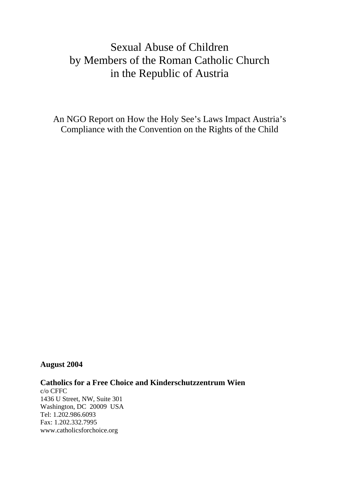# Sexual Abuse of Children by Members of the Roman Catholic Church in the Republic of Austria

An NGO Report on How the Holy See's Laws Impact Austria's Compliance with the Convention on the Rights of the Child

## **August 2004**

**Catholics for a Free Choice and Kinderschutzzentrum Wien** 

c/o CFFC 1436 U Street, NW, Suite 301 Washington, DC 20009 USA Tel: 1.202.986.6093 Fax: 1.202.332.7995 www.catholicsforchoice.org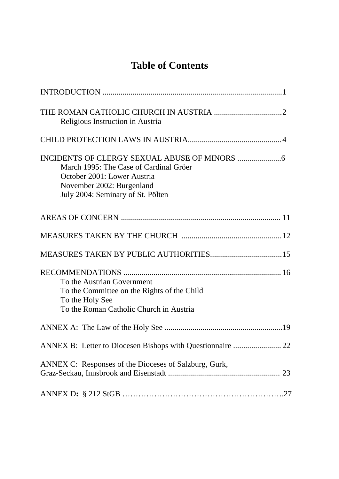# **Table of Contents**

| Religious Instruction in Austria                                                                                                        |  |
|-----------------------------------------------------------------------------------------------------------------------------------------|--|
|                                                                                                                                         |  |
| March 1995: The Case of Cardinal Gröer<br>October 2001: Lower Austria<br>November 2002: Burgenland<br>July 2004: Seminary of St. Pölten |  |
|                                                                                                                                         |  |
|                                                                                                                                         |  |
|                                                                                                                                         |  |
| To the Austrian Government<br>To the Committee on the Rights of the Child<br>To the Holy See<br>To the Roman Catholic Church in Austria |  |
|                                                                                                                                         |  |
|                                                                                                                                         |  |
| ANNEX C: Responses of the Dioceses of Salzburg, Gurk,                                                                                   |  |
|                                                                                                                                         |  |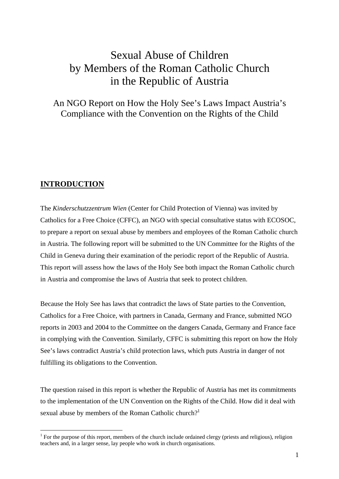# Sexual Abuse of Children by Members of the Roman Catholic Church in the Republic of Austria

## An NGO Report on How the Holy See's Laws Impact Austria's Compliance with the Convention on the Rights of the Child

## **INTRODUCTION**

1

The *Kinderschutzzentrum Wien* (Center for Child Protection of Vienna) was invited by Catholics for a Free Choice (CFFC), an NGO with special consultative status with ECOSOC, to prepare a report on sexual abuse by members and employees of the Roman Catholic church in Austria. The following report will be submitted to the UN Committee for the Rights of the Child in Geneva during their examination of the periodic report of the Republic of Austria. This report will assess how the laws of the Holy See both impact the Roman Catholic church in Austria and compromise the laws of Austria that seek to protect children.

Because the Holy See has laws that contradict the laws of State parties to the Convention, Catholics for a Free Choice, with partners in Canada, Germany and France, submitted NGO reports in 2003 and 2004 to the Committee on the dangers Canada, Germany and France face in complying with the Convention. Similarly, CFFC is submitting this report on how the Holy See's laws contradict Austria's child protection laws, which puts Austria in danger of not fulfilling its obligations to the Convention.

The question raised in this report is whether the Republic of Austria has met its commitments to the implementation of the UN Convention on the Rights of the Child. How did it deal with sexual abuse by members of the Roman Catholic church?<sup>[1](#page-2-0)</sup>

<span id="page-2-0"></span><sup>&</sup>lt;sup>1</sup> For the purpose of this report, members of the church include ordained clergy (priests and religious), religion teachers and, in a larger sense, lay people who work in church organisations.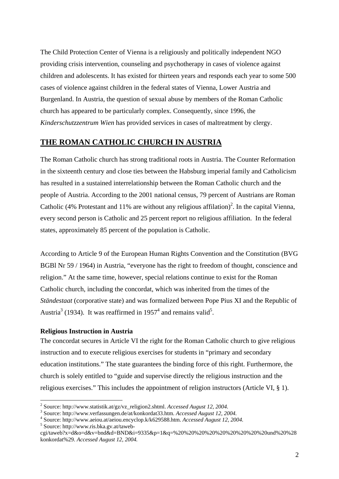The Child Protection Center of Vienna is a religiously and politically independent NGO providing crisis intervention, counseling and psychotherapy in cases of violence against children and adolescents. It has existed for thirteen years and responds each year to some 500 cases of violence against children in the federal states of Vienna, Lower Austria and Burgenland. In Austria, the question of sexual abuse by members of the Roman Catholic church has appeared to be particularly complex. Consequently, since 1996, the *Kinderschutzzentrum Wien* has provided services in cases of maltreatment by clergy.

## **THE ROMAN CATHOLIC CHURCH IN AUSTRIA**

The Roman Catholic church has strong traditional roots in Austria. The Counter Reformation in the sixteenth century and close ties between the Habsburg imperial family and Catholicism has resulted in a sustained interrelationship between the Roman Catholic church and the people of Austria. According to the 2001 national census, 79 percent of Austrians are Roman Catholic (4% Protestant and 11% are without any religious affilation)<sup>[2](#page-3-0)</sup>. In the capital Vienna, every second person is Catholic and 25 percent report no religious affiliation. In the federal states, approximately 85 percent of the population is Catholic.

According to Article 9 of the European Human Rights Convention and the Constitution (BVG BGBl Nr 59 / 1964) in Austria, "everyone has the right to freedom of thought, conscience and religion." At the same time, however, special relations continue to exist for the Roman Catholic church, including the concordat, which was inherited from the times of the *Ständestaat* (corporative state) and was formalized between Pope Pius XI and the Republic of Austria<sup>3</sup> (1934). It was reaffirmed in 19[5](#page-3-3)7<sup>4</sup> and remains valid<sup>5</sup>.

## **Religious Instruction in Austria**

The concordat secures in Article VI the right for the Roman Catholic church to give religious instruction and to execute religious exercises for students in "primary and secondary education institutions." The state guarantees the binding force of this right. Furthermore, the church is solely entitled to "guide and supervise directly the religious instruction and the religious exercises." This includes the appointment of religion instructors (Article VI, § 1).

<span id="page-3-3"></span>Source: http://www.ris.bka.gv.at/taweb-

1

<span id="page-3-0"></span><sup>&</sup>lt;sup>2</sup> Source: http://www.statistik.at/gz/vz\_religion2.shtml. *Accessed August 12, 2004.*<br><sup>3</sup> Source: http://www.yarfaceup.com/do/st/kopkordat33.html Accessed August 12, 2004.

<span id="page-3-1"></span>Source: http://www.verfassungen.de/at/konkordat33.htm. *Accessed August 12, 2004.* 4

<span id="page-3-2"></span>Source: http://www.aeiou.at/aeiou.encyclop.k/k629588.htm. *Accessed August 12, 2004.* 5

cgi/taweb?x=d&o=d&v=bnd&d=BND&i=9335&p=1&q=%20%20%20%20%20%20%20%20%20und%20%28 konkordat%29. *Accessed August 12, 2004.*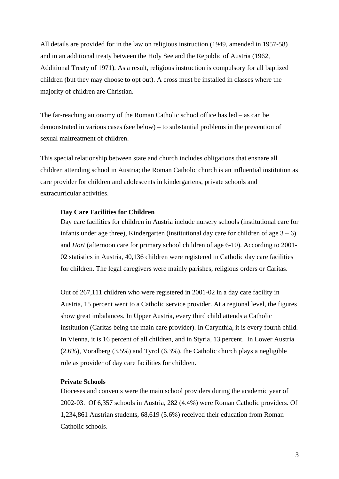All details are provided for in the law on religious instruction (1949, amended in 1957-58) and in an additional treaty between the Holy See and the Republic of Austria (1962, Additional Treaty of 1971). As a result, religious instruction is compulsory for all baptized children (but they may choose to opt out). A cross must be installed in classes where the majority of children are Christian.

The far-reaching autonomy of the Roman Catholic school office has led – as can be demonstrated in various cases (see below) – to substantial problems in the prevention of sexual maltreatment of children.

This special relationship between state and church includes obligations that ensnare all children attending school in Austria; the Roman Catholic church is an influential institution as care provider for children and adolescents in kindergartens, private schools and extracurricular activities.

#### **Day Care Facilities for Children**

Day care facilities for children in Austria include nursery schools (institutional care for infants under age three), Kindergarten (institutional day care for children of age  $3 - 6$ ) and *Hort* (afternoon care for primary school children of age 6-10). According to 2001- 02 statistics in Austria, 40,136 children were registered in Catholic day care facilities for children. The legal caregivers were mainly parishes, religious orders or Caritas.

Out of 267,111 children who were registered in 2001-02 in a day care facility in Austria, 15 percent went to a Catholic service provider. At a regional level, the figures show great imbalances. In Upper Austria, every third child attends a Catholic institution (Caritas being the main care provider). In Carynthia, it is every fourth child. In Vienna, it is 16 percent of all children, and in Styria, 13 percent. In Lower Austria (2.6%), Voralberg (3.5%) and Tyrol (6.3%), the Catholic church plays a negligible role as provider of day care facilities for children.

## **Private Schools**

 $\overline{a}$ 

Dioceses and convents were the main school providers during the academic year of 2002-03. Of 6,357 schools in Austria, 282 (4.4%) were Roman Catholic providers. Of 1,234,861 Austrian students, 68,619 (5.6%) received their education from Roman Catholic schools.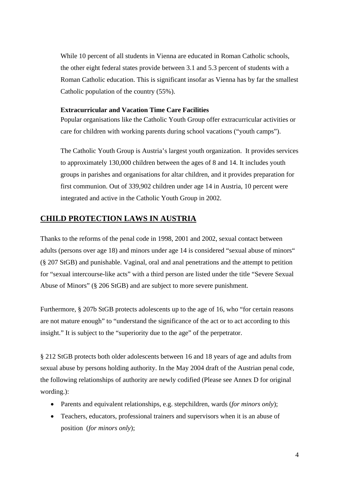While 10 percent of all students in Vienna are educated in Roman Catholic schools, the other eight federal states provide between 3.1 and 5.3 percent of students with a Roman Catholic education. This is significant insofar as Vienna has by far the smallest Catholic population of the country (55%).

## **Extracurricular and Vacation Time Care Facilities**

Popular organisations like the Catholic Youth Group offer extracurricular activities or care for children with working parents during school vacations ("youth camps").

The Catholic Youth Group is Austria's largest youth organization. It provides services to approximately 130,000 children between the ages of 8 and 14. It includes youth groups in parishes and organisations for altar children, and it provides preparation for first communion. Out of 339,902 children under age 14 in Austria, 10 percent were integrated and active in the Catholic Youth Group in 2002.

## **CHILD PROTECTION LAWS IN AUSTRIA**

Thanks to the reforms of the penal code in 1998, 2001 and 2002, sexual contact between adults (persons over age 18) and minors under age 14 is considered "sexual abuse of minors" (§ 207 StGB) and punishable. Vaginal, oral and anal penetrations and the attempt to petition for "sexual intercourse-like acts" with a third person are listed under the title "Severe Sexual Abuse of Minors" (§ 206 StGB) and are subject to more severe punishment.

Furthermore, § 207b StGB protects adolescents up to the age of 16, who "for certain reasons are not mature enough" to "understand the significance of the act or to act according to this insight." It is subject to the "superiority due to the age" of the perpetrator.

§ 212 StGB protects both older adolescents between 16 and 18 years of age and adults from sexual abuse by persons holding authority. In the May 2004 draft of the Austrian penal code, the following relationships of authority are newly codified (Please see Annex D for original wording.):

- Parents and equivalent relationships, e.g. stepchildren, wards (*for minors only*);
- Teachers, educators, professional trainers and supervisors when it is an abuse of position (*for minors only*);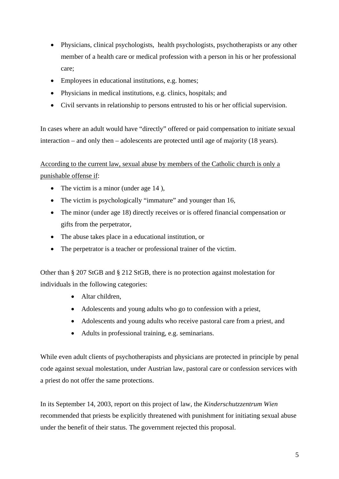- Physicians, clinical psychologists, health psychologists, psychotherapists or any other member of a health care or medical profession with a person in his or her professional care;
- Employees in educational institutions, e.g. homes;
- Physicians in medical institutions, e.g. clinics, hospitals; and
- Civil servants in relationship to persons entrusted to his or her official supervision.

In cases where an adult would have "directly" offered or paid compensation to initiate sexual interaction – and only then – adolescents are protected until age of majority (18 years).

According to the current law, sexual abuse by members of the Catholic church is only a punishable offense if:

- The victim is a minor (under age 14),
- The victim is psychologically "immature" and younger than 16,
- The minor (under age 18) directly receives or is offered financial compensation or gifts from the perpetrator,
- The abuse takes place in a educational institution, or
- The perpetrator is a teacher or professional trainer of the victim.

Other than § 207 StGB and § 212 StGB, there is no protection against molestation for individuals in the following categories:

- Altar children,
- Adolescents and young adults who go to confession with a priest,
- Adolescents and young adults who receive pastoral care from a priest, and
- Adults in professional training, e.g. seminarians.

While even adult clients of psychotherapists and physicians are protected in principle by penal code against sexual molestation, under Austrian law, pastoral care or confession services with a priest do not offer the same protections.

In its September 14, 2003, report on this project of law, the *Kinderschutzzentrum Wien* recommended that priests be explicitly threatened with punishment for initiating sexual abuse under the benefit of their status. The government rejected this proposal.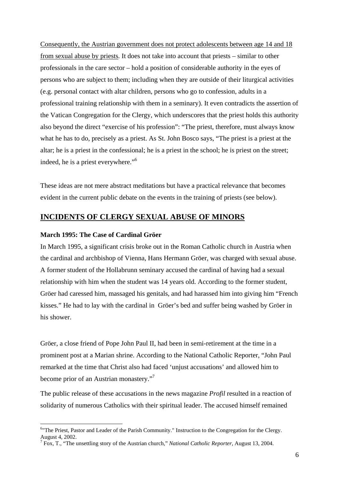Consequently, the Austrian government does not protect adolescents between age 14 and 18 from sexual abuse by priests. It does not take into account that priests – similar to other professionals in the care sector – hold a position of considerable authority in the eyes of persons who are subject to them; including when they are outside of their liturgical activities (e.g. personal contact with altar children, persons who go to confession, adults in a professional training relationship with them in a seminary). It even contradicts the assertion of the Vatican Congregation for the Clergy, which underscores that the priest holds this authority also beyond the direct "exercise of his profession": "The priest, therefore, must always know what he has to do, precisely as a priest. As St. John Bosco says, "The priest is a priest at the altar; he is a priest in the confessional; he is a priest in the school; he is priest on the street; indeed, he is a priest everywhere."<sup>[6](#page-7-0)</sup>

These ideas are not mere abstract meditations but have a practical relevance that becomes evident in the current public debate on the events in the training of priests (see below).

## **INCIDENTS OF CLERGY SEXUAL ABUSE OF MINORS**

#### **March 1995: The Case of Cardinal Gröer**

 $\overline{a}$ 

In March 1995, a significant crisis broke out in the Roman Catholic church in Austria when the cardinal and archbishop of Vienna, Hans Hermann Gröer, was charged with sexual abuse. A former student of the Hollabrunn seminary accused the cardinal of having had a sexual relationship with him when the student was 14 years old. According to the former student, Gröer had caressed him, massaged his genitals, and had harassed him into giving him "French kisses." He had to lay with the cardinal in Gröer's bed and suffer being washed by Gröer in his shower.

Gröer, a close friend of Pope John Paul II, had been in semi-retirement at the time in a prominent post at a Marian shrine. According to the National Catholic Reporter, "John Paul remarked at the time that Christ also had faced 'unjust accusations' and allowed him to become prior of an Austrian monastery."[7](#page-7-1)

The public release of these accusations in the news magazine *Profil* resulted in a reaction of solidarity of numerous Catholics with their spiritual leader. The accused himself remained

<span id="page-7-0"></span><sup>&</sup>lt;sup>6</sup>"The Priest, Pastor and Leader of the Parish Community." Instruction to the Congregation for the Clergy. August 4, 2002. 7

<span id="page-7-1"></span>Fox, T., "The unsettling story of the Austrian church," *National Catholic Reporter*, August 13, 2004.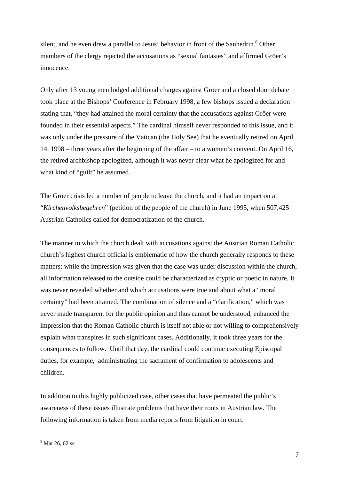silent, and he even drew a parallel to Jesus' behavior in front of the Sanhedrin.<sup>8</sup> Other members of the clergy rejected the accusations as "sexual fantasies" and affirmed Gröer's innocence.

Only after 13 young men lodged additional charges against Gröer and a closed door debate took place at the Bishops' Conference in February 1998, a few bishops issued a declaration stating that, "they had attained the moral certainty that the accusations against Gröer were founded in their essential aspects." The cardinal himself never responded to this issue, and it was only under the pressure of the Vatican (the Holy See) that he eventually retired on April 14, 1998 – three years after the beginning of the affair – to a women's convent. On April 16, the retired archbishop apologized, although it was never clear what he apologized for and what kind of "guilt" he assumed.

The Gröer crisis led a number of people to leave the church, and it had an impact on a "*Kirchenvolksbegehren*" (petition of the people of the church) in June 1995, when 507,425 Austrian Catholics called for democratization of the church.

The manner in which the church dealt with accusations against the Austrian Roman Catholic church's highest church official is emblematic of how the church generally responds to these matters: while the impression was given that the case was under discussion within the church, all information released to the outside could be characterized as cryptic or poetic in nature. It was never revealed whether and which accusations were true and about what a "moral certainty" had been attained. The combination of silence and a "clarification," which was never made transparent for the public opinion and thus cannot be understood, enhanced the impression that the Roman Catholic church is itself not able or not willing to comprehensively explain what transpires in such significant cases. Additionally, it took three years for the consequences to follow. Until that day, the cardinal could continue executing Episcopal duties, for example, administrating the sacrament of confirmation to adolescents and children.

In addition to this highly publicized case, other cases that have permeated the public's awareness of these issues illustrate problems that have their roots in Austrian law. The following information is taken from media reports from litigation in court.

 $\overline{a}$ 

<span id="page-8-0"></span><sup>8</sup> Mat 26, 62 ss.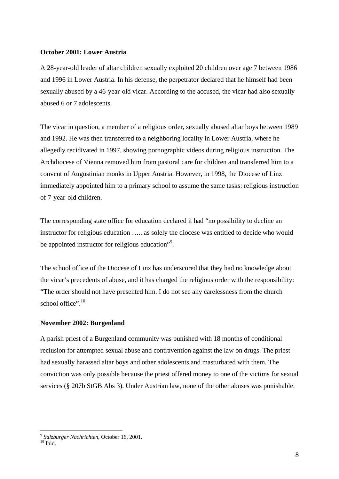#### **October 2001: Lower Austria**

A 28-year-old leader of altar children sexually exploited 20 children over age 7 between 1986 and 1996 in Lower Austria. In his defense, the perpetrator declared that he himself had been sexually abused by a 46-year-old vicar. According to the accused, the vicar had also sexually abused 6 or 7 adolescents.

The vicar in question, a member of a religious order, sexually abused altar boys between 1989 and 1992. He was then transferred to a neighboring locality in Lower Austria, where he allegedly recidivated in 1997, showing pornographic videos during religious instruction. The Archdiocese of Vienna removed him from pastoral care for children and transferred him to a convent of Augustinian monks in Upper Austria. However, in 1998, the Diocese of Linz immediately appointed him to a primary school to assume the same tasks: religious instruction of 7-year-old children.

The corresponding state office for education declared it had "no possibility to decline an instructor for religious education ….. as solely the diocese was entitled to decide who would be appointed instructor for religious education"<sup>[9](#page-9-0)</sup>.

The school office of the Diocese of Linz has underscored that they had no knowledge about the vicar's precedents of abuse, and it has charged the religious order with the responsibility: "The order should not have presented him. I do not see any carelessness from the church school office". $10$ 

#### **November 2002: Burgenland**

A parish priest of a Burgenland community was punished with 18 months of conditional reclusion for attempted sexual abuse and contravention against the law on drugs. The priest had sexually harassed altar boys and other adolescents and masturbated with them. The conviction was only possible because the priest offered money to one of the victims for sexual services (§ 207b StGB Abs 3). Under Austrian law, none of the other abuses was punishable.

1

<span id="page-9-0"></span><sup>&</sup>lt;sup>9</sup> Salzburger Nachrichten, October 16, 2001.<br><sup>10</sup> Ibid.

<span id="page-9-1"></span>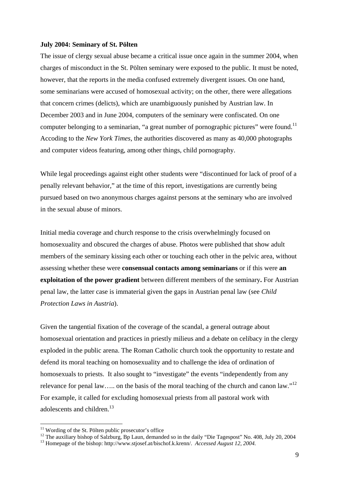#### **July 2004: Seminary of St. Pölten**

The issue of clergy sexual abuse became a critical issue once again in the summer 2004, when charges of misconduct in the St. Pölten seminary were exposed to the public. It must be noted, however, that the reports in the media confused extremely divergent issues. On one hand, some seminarians were accused of homosexual activity; on the other, there were allegations that concern crimes (delicts), which are unambiguously punished by Austrian law. In December 2003 and in June 2004, computers of the seminary were confiscated. On one computer belonging to a seminarian, "a great number of pornographic pictures" were found.<sup>11</sup> Accoding to the *New York Times*, the authorities discovered as many as 40,000 photographs and computer videos featuring, among other things, child pornography.

While legal proceedings against eight other students were "discontinued for lack of proof of a penally relevant behavior," at the time of this report, investigations are currently being pursued based on two anonymous charges against persons at the seminary who are involved in the sexual abuse of minors.

Initial media coverage and church response to the crisis overwhelmingly focused on homosexuality and obscured the charges of abuse. Photos were published that show adult members of the seminary kissing each other or touching each other in the pelvic area, without assessing whether these were **consensual contacts among seminarians** or if this were **an exploitation of the power gradient** between different members of the seminary**.** For Austrian penal law, the latter case is immaterial given the gaps in Austrian penal law (see *Child Protection Laws in Austria*).

Given the tangential fixation of the coverage of the scandal, a general outrage about homosexual orientation and practices in priestly milieus and a debate on celibacy in the clergy exploded in the public arena. The Roman Catholic church took the opportunity to restate and defend its moral teaching on homosexuality and to challenge the idea of ordination of homosexuals to priests. It also sought to "investigate" the events "independently from any relevance for penal law..... on the basis of the moral teaching of the church and canon law."<sup>[12](#page-10-1)</sup> For example, it called for excluding homosexual priests from all pastoral work with adolescents and children.<sup>[13](#page-10-2)</sup>

<span id="page-10-0"></span><sup>&</sup>lt;sup>11</sup> Wording of the St. Pölten public prosecutor's office

<span id="page-10-2"></span><span id="page-10-1"></span><sup>&</sup>lt;sup>12</sup> The auxiliary bishop of Salzburg, Bp Laun, demanded so in the daily "Die Tagespost" No. 408, July 20, 2004<br><sup>13</sup> Homepage of the bishop: http://www.stjosef.at/bischof.k.krenn/. *Accessed August 12, 2004*.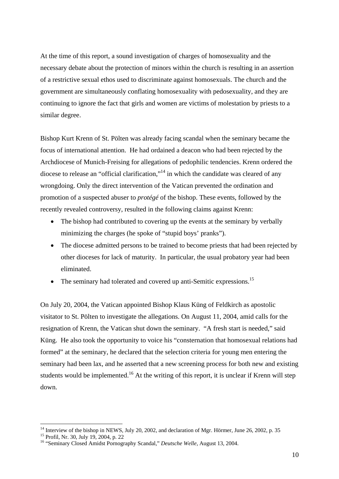At the time of this report, a sound investigation of charges of homosexuality and the necessary debate about the protection of minors within the church is resulting in an assertion of a restrictive sexual ethos used to discriminate against homosexuals. The church and the government are simultaneously conflating homosexuality with pedosexuality, and they are continuing to ignore the fact that girls and women are victims of molestation by priests to a similar degree.

Bishop Kurt Krenn of St. Pölten was already facing scandal when the seminary became the focus of international attention. He had ordained a deacon who had been rejected by the Archdiocese of Munich-Freising for allegations of pedophilic tendencies. Krenn ordered the diocese to release an "official clarification,"<sup>14</sup> in which the candidate was cleared of any wrongdoing. Only the direct intervention of the Vatican prevented the ordination and promotion of a suspected abuser to *protégé* of the bishop. These events, followed by the recently revealed controversy, resulted in the following claims against Krenn:

- The bishop had contributed to covering up the events at the seminary by verbally minimizing the charges (he spoke of "stupid boys' pranks").
- The diocese admitted persons to be trained to become priests that had been rejected by other dioceses for lack of maturity. In particular, the usual probatory year had been eliminated.
- The seminary had tolerated and covered up anti-Semitic expressions.<sup>[15](#page-11-1)</sup>

On July 20, 2004, the Vatican appointed Bishop Klaus Küng of Feldkirch as apostolic visitator to St. Pölten to investigate the allegations. On August 11, 2004, amid calls for the resignation of Krenn, the Vatican shut down the seminary. "A fresh start is needed," said Küng. He also took the opportunity to voice his "consternation that homosexual relations had formed" at the seminary, he declared that the selection criteria for young men entering the seminary had been lax, and he asserted that a new screening process for both new and existing students would be implemented.<sup>16</sup> At the writing of this report, it is unclear if Krenn will step down.

1

<span id="page-11-0"></span><sup>&</sup>lt;sup>14</sup> Interview of the bishop in NEWS, July 20, 2002, and declaration of Mgr. Hörmer, June 26, 2002, p. 35<sup>15</sup> Profil, Nr. 30, July 19, 2004, p. 22<br><sup>15</sup> "Seminary Closed Amidst Pornography Scandal," *Deutsche Welle*, Augus

<span id="page-11-1"></span>

<span id="page-11-2"></span>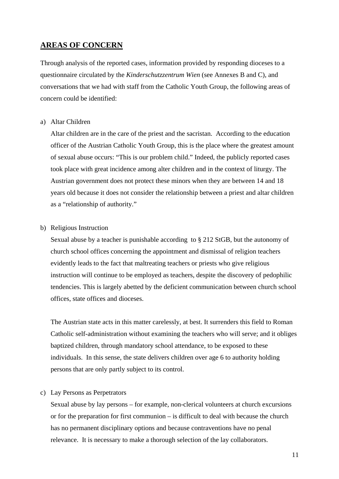## **AREAS OF CONCERN**

Through analysis of the reported cases, information provided by responding dioceses to a questionnaire circulated by the *Kinderschutzzentrum Wien* (see Annexes B and C), and conversations that we had with staff from the Catholic Youth Group, the following areas of concern could be identified:

#### a) Altar Children

Altar children are in the care of the priest and the sacristan. According to the education officer of the Austrian Catholic Youth Group, this is the place where the greatest amount of sexual abuse occurs: "This is our problem child." Indeed, the publicly reported cases took place with great incidence among alter children and in the context of liturgy. The Austrian government does not protect these minors when they are between 14 and 18 years old because it does not consider the relationship between a priest and altar children as a "relationship of authority."

#### b) Religious Instruction

Sexual abuse by a teacher is punishable according to § 212 StGB, but the autonomy of church school offices concerning the appointment and dismissal of religion teachers evidently leads to the fact that maltreating teachers or priests who give religious instruction will continue to be employed as teachers, despite the discovery of pedophilic tendencies. This is largely abetted by the deficient communication between church school offices, state offices and dioceses.

The Austrian state acts in this matter carelessly, at best. It surrenders this field to Roman Catholic self-administration without examining the teachers who will serve; and it obliges baptized children, through mandatory school attendance, to be exposed to these individuals. In this sense, the state delivers children over age 6 to authority holding persons that are only partly subject to its control.

#### c) Lay Persons as Perpetrators

Sexual abuse by lay persons – for example, non-clerical volunteers at church excursions or for the preparation for first communion – is difficult to deal with because the church has no permanent disciplinary options and because contraventions have no penal relevance. It is necessary to make a thorough selection of the lay collaborators.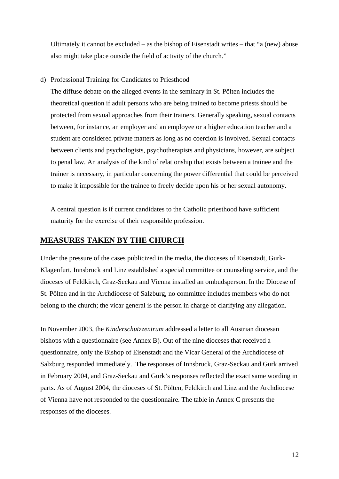Ultimately it cannot be excluded – as the bishop of Eisenstadt writes – that "a (new) abuse also might take place outside the field of activity of the church."

d) Professional Training for Candidates to Priesthood

The diffuse debate on the alleged events in the seminary in St. Pölten includes the theoretical question if adult persons who are being trained to become priests should be protected from sexual approaches from their trainers. Generally speaking, sexual contacts between, for instance, an employer and an employee or a higher education teacher and a student are considered private matters as long as no coercion is involved. Sexual contacts between clients and psychologists, psychotherapists and physicians, however, are subject to penal law. An analysis of the kind of relationship that exists between a trainee and the trainer is necessary, in particular concerning the power differential that could be perceived to make it impossible for the trainee to freely decide upon his or her sexual autonomy.

A central question is if current candidates to the Catholic priesthood have sufficient maturity for the exercise of their responsible profession.

## **MEASURES TAKEN BY THE CHURCH**

Under the pressure of the cases publicized in the media, the dioceses of Eisenstadt, Gurk-Klagenfurt, Innsbruck and Linz established a special committee or counseling service, and the dioceses of Feldkirch, Graz-Seckau and Vienna installed an ombudsperson. In the Diocese of St. Pölten and in the Archdiocese of Salzburg, no committee includes members who do not belong to the church; the vicar general is the person in charge of clarifying any allegation.

In November 2003, the *Kinderschutzzentrum* addressed a letter to all Austrian diocesan bishops with a questionnaire (see Annex B). Out of the nine dioceses that received a questionnaire, only the Bishop of Eisenstadt and the Vicar General of the Archdiocese of Salzburg responded immediately. The responses of Innsbruck, Graz-Seckau and Gurk arrived in February 2004, and Graz-Seckau and Gurk's responses reflected the exact same wording in parts. As of August 2004, the dioceses of St. Pölten, Feldkirch and Linz and the Archdiocese of Vienna have not responded to the questionnaire. The table in Annex C presents the responses of the dioceses.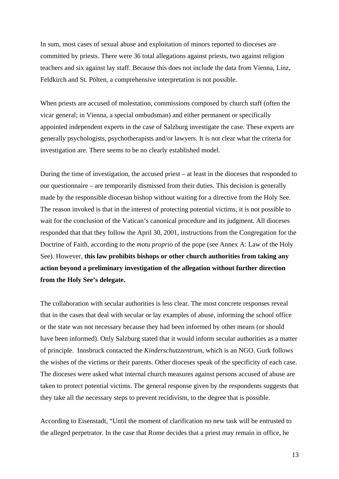In sum, most cases of sexual abuse and exploitation of minors reported to dioceses are committed by priests. There were 36 total allegations against priests, two against religion teachers and six against lay staff. Because this does not include the data from Vienna, Linz, Feldkirch and St. Pölten, a comprehensive interpretation is not possible.

When priests are accused of molestation, commissions composed by church staff (often the vicar general; in Vienna, a special ombudsman) and either permanent or specifically appointed independent experts in the case of Salzburg investigate the case. These experts are generally psychologists, psychotherapists and/or lawyers. It is not clear what the criteria for investigation are. There seems to be no clearly established model.

During the time of investigation, the accused priest – at least in the dioceses that responded to our questionnaire – are temporarily dismissed from their duties. This decision is generally made by the responsible diocesan bishop without waiting for a directive from the Holy See. The reason invoked is that in the interest of protecting potential victims, it is not possible to wait for the conclusion of the Vatican's canonical procedure and its judgment. All dioceses responded that that they follow the April 30, 2001, instructions from the Congregation for the Doctrine of Faith, according to the *motu proprio* of the pope (see Annex A: Law of the Holy See). However, **this law prohibits bishops or other church authorities from taking any action beyond a preliminary investigation of the allegation without further direction from the Holy See's delegate.**

The collaboration with secular authorities is less clear. The most concrete responses reveal that in the cases that deal with secular or lay examples of abuse, informing the school office or the state was not necessary because they had been informed by other means (or should have been informed). Only Salzburg stated that it would inform secular authorities as a matter of principle. Innsbruck contacted the *Kinderschutzzentrum*, which is an NGO. Gurk follows the wishes of the victims or their parents. Other dioceses speak of the specificity of each case. The dioceses were asked what internal church measures against persons accused of abuse are taken to protect potential victims. The general response given by the respondents suggests that they take all the necessary steps to prevent recidivism, to the degree that is possible.

According to Eisenstadt, "Until the moment of clarification no new task will be entrusted to the alleged perpetrator. In the case that Rome decides that a priest may remain in office, he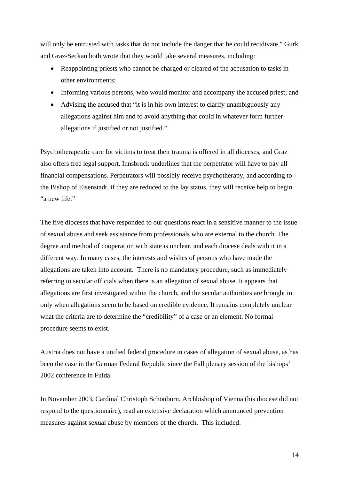will only be entrusted with tasks that do not include the danger that he could recidivate." Gurk and Graz-Seckau both wrote that they would take several measures, including:

- Reappointing priests who cannot be charged or cleared of the accusation to tasks in other environments;
- Informing various persons, who would monitor and accompany the accused priest; and
- Advising the accused that "it is in his own interest to clarify unambiguously any allegations against him and to avoid anything that could in whatever form further allegations if justified or not justified."

Psychotherapeutic care for victims to treat their trauma is offered in all dioceses, and Graz also offers free legal support. Innsbruck underlines that the perpetrator will have to pay all financial compensations. Perpetrators will possibly receive psychotherapy, and according to the Bishop of Eisenstadt, if they are reduced to the lay status, they will receive help to begin "a new life."

The five dioceses that have responded to our questions react in a sensitive manner to the issue of sexual abuse and seek assistance from professionals who are external to the church. The degree and method of cooperation with state is unclear, and each diocese deals with it in a different way. In many cases, the interests and wishes of persons who have made the allegations are taken into account. There is no mandatory procedure, such as immediately referring to secular officials when there is an allegation of sexual abuse. It appears that allegations are first investigated within the church, and the secular authorities are brought in only when allegations seem to be based on credible evidence. It remains completely unclear what the criteria are to determine the "credibility" of a case or an element. No formal procedure seems to exist.

Austria does not have a unified federal procedure in cases of allegation of sexual abuse, as has been the case in the German Federal Republic since the Fall plenary session of the bishops' 2002 conference in Fulda.

In November 2003, Cardinal Christoph Schönborn, Archbishop of Vienna (his diocese did not respond to the questionnaire), read an extensive declaration which announced prevention measures against sexual abuse by members of the church. This included: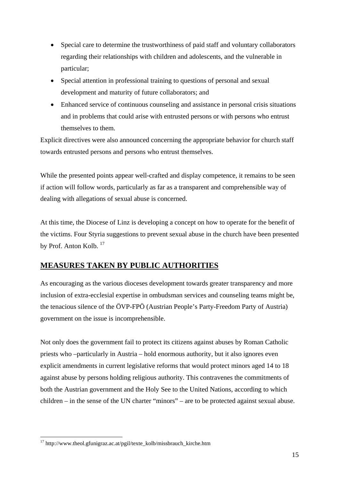- Special care to determine the trustworthiness of paid staff and voluntary collaborators regarding their relationships with children and adolescents, and the vulnerable in particular;
- Special attention in professional training to questions of personal and sexual development and maturity of future collaborators; and
- Enhanced service of continuous counseling and assistance in personal crisis situations and in problems that could arise with entrusted persons or with persons who entrust themselves to them.

Explicit directives were also announced concerning the appropriate behavior for church staff towards entrusted persons and persons who entrust themselves.

While the presented points appear well-crafted and display competence, it remains to be seen if action will follow words, particularly as far as a transparent and comprehensible way of dealing with allegations of sexual abuse is concerned.

At this time, the Diocese of Linz is developing a concept on how to operate for the benefit of the victims. Four Styria suggestions to prevent sexual abuse in the church have been presented by Prof. Anton Kolb.<sup>[17](#page-16-0)</sup>

## **MEASURES TAKEN BY PUBLIC AUTHORITIES**

As encouraging as the various dioceses development towards greater transparency and more inclusion of extra-ecclesial expertise in ombudsman services and counseling teams might be, the tenacious silence of the ÖVP-FPÖ (Austrian People's Party-Freedom Party of Austria) government on the issue is incomprehensible.

Not only does the government fail to protect its citizens against abuses by Roman Catholic priests who –particularly in Austria – hold enormous authority, but it also ignores even explicit amendments in current legislative reforms that would protect minors aged 14 to 18 against abuse by persons holding religious authority. This contravenes the commitments of both the Austrian government and the Holy See to the United Nations, according to which children – in the sense of the UN charter "minors" – are to be protected against sexual abuse.

1

<span id="page-16-0"></span><sup>17</sup> http://www.theol.gfunigraz.ac.at/pgil/texte\_kolb/missbrauch\_kirche.htm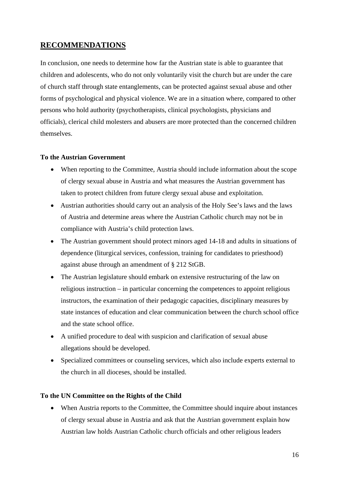## **RECOMMENDATIONS**

In conclusion, one needs to determine how far the Austrian state is able to guarantee that children and adolescents, who do not only voluntarily visit the church but are under the care of church staff through state entanglements, can be protected against sexual abuse and other forms of psychological and physical violence. We are in a situation where, compared to other persons who hold authority (psychotherapists, clinical psychologists, physicians and officials), clerical child molesters and abusers are more protected than the concerned children themselves.

## **To the Austrian Government**

- When reporting to the Committee, Austria should include information about the scope of clergy sexual abuse in Austria and what measures the Austrian government has taken to protect children from future clergy sexual abuse and exploitation.
- Austrian authorities should carry out an analysis of the Holy See's laws and the laws of Austria and determine areas where the Austrian Catholic church may not be in compliance with Austria's child protection laws.
- The Austrian government should protect minors aged 14-18 and adults in situations of dependence (liturgical services, confession, training for candidates to priesthood) against abuse through an amendment of § 212 StGB.
- The Austrian legislature should embark on extensive restructuring of the law on religious instruction – in particular concerning the competences to appoint religious instructors, the examination of their pedagogic capacities, disciplinary measures by state instances of education and clear communication between the church school office and the state school office.
- A unified procedure to deal with suspicion and clarification of sexual abuse allegations should be developed.
- Specialized committees or counseling services, which also include experts external to the church in all dioceses, should be installed.

## **To the UN Committee on the Rights of the Child**

• When Austria reports to the Committee, the Committee should inquire about instances of clergy sexual abuse in Austria and ask that the Austrian government explain how Austrian law holds Austrian Catholic church officials and other religious leaders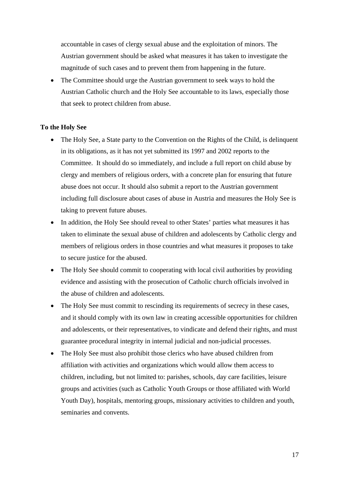accountable in cases of clergy sexual abuse and the exploitation of minors. The Austrian government should be asked what measures it has taken to investigate the magnitude of such cases and to prevent them from happening in the future.

• The Committee should urge the Austrian government to seek ways to hold the Austrian Catholic church and the Holy See accountable to its laws, especially those that seek to protect children from abuse.

#### **To the Holy See**

- The Holy See, a State party to the Convention on the Rights of the Child, is delinquent in its obligations, as it has not yet submitted its 1997 and 2002 reports to the Committee. It should do so immediately, and include a full report on child abuse by clergy and members of religious orders, with a concrete plan for ensuring that future abuse does not occur. It should also submit a report to the Austrian government including full disclosure about cases of abuse in Austria and measures the Holy See is taking to prevent future abuses.
- In addition, the Holy See should reveal to other States' parties what measures it has taken to eliminate the sexual abuse of children and adolescents by Catholic clergy and members of religious orders in those countries and what measures it proposes to take to secure justice for the abused.
- The Holy See should commit to cooperating with local civil authorities by providing evidence and assisting with the prosecution of Catholic church officials involved in the abuse of children and adolescents.
- The Holy See must commit to rescinding its requirements of secrecy in these cases, and it should comply with its own law in creating accessible opportunities for children and adolescents, or their representatives, to vindicate and defend their rights, and must guarantee procedural integrity in internal judicial and non-judicial processes.
- The Holy See must also prohibit those clerics who have abused children from affiliation with activities and organizations which would allow them access to children, including, but not limited to: parishes, schools, day care facilities, leisure groups and activities (such as Catholic Youth Groups or those affiliated with World Youth Day), hospitals, mentoring groups, missionary activities to children and youth, seminaries and convents.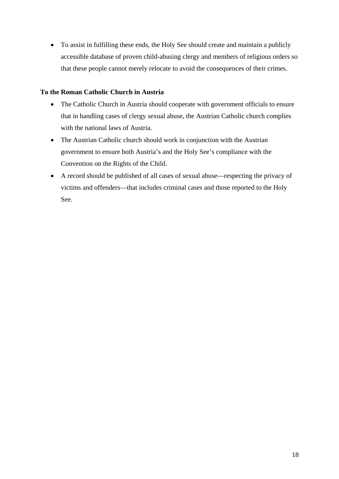• To assist in fulfilling these ends, the Holy See should create and maintain a publicly accessible database of proven child-abusing clergy and members of religious orders so that these people cannot merely relocate to avoid the consequences of their crimes.

## **To the Roman Catholic Church in Austria**

- The Catholic Church in Austria should cooperate with government officials to ensure that in handling cases of clergy sexual abuse, the Austrian Catholic church complies with the national laws of Austria.
- The Austrian Catholic church should work in conjunction with the Austrian government to ensure both Austria's and the Holy See's compliance with the Convention on the Rights of the Child.
- A record should be published of all cases of sexual abuse—respecting the privacy of victims and offenders—that includes criminal cases and those reported to the Holy See.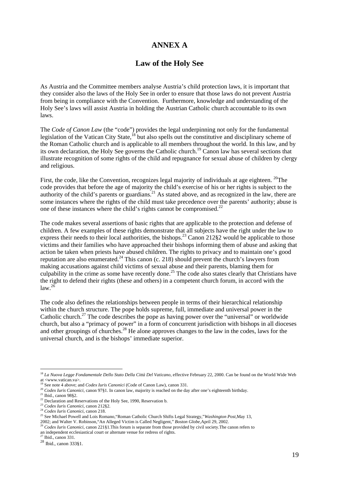## **ANNEX A**

## **Law of the Holy See**

As Austria and the Committee members analyse Austria's child protection laws, it is important that they consider also the laws of the Holy See in order to ensure that those laws do not prevent Austria from being in compliance with the Convention. Furthermore, knowledge and understanding of the Holy See's laws will assist Austria in holding the Austrian Catholic church accountable to its own laws.

The *Code of Canon Law* (the "code") provides the legal underpinning not only for the fundamental legislation of the Vatican City State,<sup>18</sup> but also spells out the constitutive and disciplinary scheme of the Roman Catholic church and is applicable to all members throughout the world. In this law, and by its own declaration, the Holy See governs the Catholic church[.19 C](#page-20-1)anon law has several sections that illustrate recognition of some rights of the child and repugnance for sexual abuse of children by clergy and religious.

First, the code, like the Convention, recognizes legal majority of individuals at age eighteen. <sup>20</sup>The code provides that before the age of majority the child's exercise of his or her rights is subject to the authority of the child's parents or guardians.<sup>21</sup> As stated above, and as recognized in the law, there are some instances where the rights of the child must take precedence over the parents' authority; abuse is one of these instances where the child's rights cannot be compromised.<sup>[22](#page-20-4)</sup>

The code makes several assertions of basic rights that are applicable to the protection and defense of children. A few examples of these rights demonstrate that all subjects have the right under the law to express their needs to their local authorities, the bishops.<sup>23</sup> Canon 212§2 would be applicable to those victims and their families who have approached their bishops informing them of abuse and asking that action be taken when priests have abused children. The rights to privacy and to maintain one's good reputation are also enumerated.<sup>24</sup> This canon (c. 218) should prevent the church's lawyers from making accusations against child victims of sexual abuse and their parents, blaming them for culpability in the crime as some have recently done.<sup>25</sup> The code also states clearly that Christians have the right to defend their rights (these and others) in a competent church forum, in accord with the  $law.<sup>26</sup>$  $law.<sup>26</sup>$  $law.<sup>26</sup>$ 

The code also defines the relationships between people in terms of their hierarchical relationship within the church structure. The pope holds supreme, full, immediate and universal power in the Catholic church.<sup>27</sup> The code describes the pope as having power over the "universal" or worldwide church, but also a "primacy of power" in a form of concurrent jurisdiction with bishops in all dioceses and other groupings of churches.<sup>28</sup> He alone approves changes to the law in the codes, laws for the universal church, and is the bishops' immediate superior.

1

<span id="page-20-0"></span><sup>18</sup> *La Nuova Legge Fondamentale Dello Stato Della Città Del Vaticano*, effective February 22, 2000. Can be found on the World Wide Web at <www.vatican.va>.<br><sup>19</sup> See note 4 above; and *Codex Iuris Canonici* (Code of Canon Law), canon 331.

<span id="page-20-1"></span>

<span id="page-20-2"></span><sup>20</sup> *Codex Iuris Canonici*, canon 97§1. In canon law, majority is reached on the day after one's eighteenth birthday.

<span id="page-20-3"></span> $21$  Ibid., canon 98§2.

<span id="page-20-4"></span> $22$  Declaration and Reservations of the Holy See, 1990, Reservation b.

<span id="page-20-5"></span><sup>23</sup> *Codex Iuris Canonici*, canon 212§2.

<span id="page-20-6"></span><sup>24</sup> *Codex Iuris Canonici*, canon 218.

<span id="page-20-7"></span><sup>25</sup> See Michael Powell and Lois Romano,"Roman Catholic Church Shifts Legal Strategy,"*Washington Post*,May 13, 2002; and Walter V. Robinson,"An Alleged Victim is Called Negligent," *Boston Globe*,April 29, 2002.

<span id="page-20-8"></span><sup>26</sup> *Codex Iuris Canonici*, canon 221§1.This forum is separate from those provided by civil society.The canon refers to an independent ecclesiastical court or alternate venue for redress of rights.  $^{27}$  Ibid., canon 331.  $^{28}$  Ibid., canon 333§1.

<span id="page-20-9"></span>

<span id="page-20-10"></span>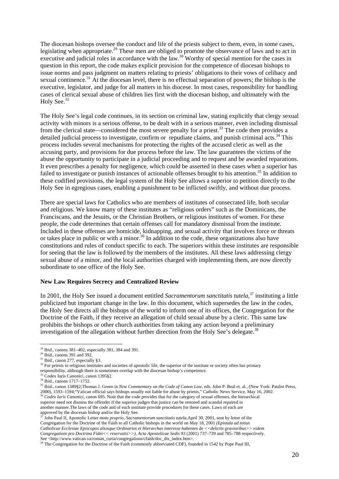The diocesan bishops oversee the conduct and life of the priests subject to them, even, in some cases, legislating when appropriate.<sup>29</sup> These men are obliged to promote the observance of laws and to act in executive and judicial roles in accordance with the law.<sup>30</sup> Worthy of special mention for the cases in question in this report, the code makes explicit provision for the competence of diocesan bishops to issue norms and pass judgment on matters relating to priests' obligations to their vows of celibacy and sexual continence.<sup>31</sup> At the diocesan level, there is no effectual separation of powers; the bishop is the executive, legislator, and judge for all matters in his diocese. In most cases, responsibility for handling cases of clerical sexual abuse of children lies first with the diocesan bishop, and ultimately with the Holy See.<sup>[32](#page-21-3)</sup>

The Holy See's legal code continues, in its section on criminal law, stating explicitly that clergy sexual activity with minors is a serious offense, to be dealt with in a serious manner, even including dismissal from the clerical state—considered the most severe penalty for a priest.<sup>33</sup> The code then provides a detailed judicial process to investigate, confirm or repudiate claims, and punish criminal acts.<sup>34</sup> This process includes several mechanisms for protecting the rights of the accused cleric as well as the accusing party, and provisions for due process before the law. The law guarantees the victims of the abuse the opportunity to participate in a judicial proceeding and to request and be awarded reparations. It even prescribes a penalty for negligence, which could be asserted in these cases when a superior has failed to investigate or punish instances of actionable offenses brought to his attention.<sup>35</sup> In addition to these codified provisions, the legal system of the Holy See allows a superior to petition directly to the Holy See in egregious cases, enabling a punishment to be inflicted swiftly, and without due process.

There are special laws for Catholics who are members of institutes of consecrated life, both secular and religious. We know many of these institutes as "religious orders" such as the Dominicans, the Franciscans, and the Jesuits, or the Christian Brothers, or religious institutes of women. For these people, the code determines that certain offenses call for mandatory dismissal from the institute. Included in these offenses are homicide, kidnapping, and sexual activity that involves force or threats or takes place in public or with a minor.<sup>36</sup> In addition to the code, these organizations also have constitutions and rules of conduct specific to each. The superiors within these institutes are responsible for seeing that the law is followed by the members of the institutes. All these laws addressing clergy sexual abuse of a minor, and the local authorities charged with implementing them, are now directly subordinate to one office of the Holy See.

#### **New Law Requires Secrecy and Centralized Review**

In 2001, the Holy See issued a document entitled *Sacramentorum sanctitatis tutela*, [37 i](#page-21-8)nstituting a little publicized but important change in the law. In this document, which supersedes the law in the codes, the Holy See directs all the bishops of the world to inform one of its offices, the Congregation for the Doctrine of the Faith, if they receive an allegation of child sexual abuse by a cleric. This same law prohibits the bishops or other church authorities from taking any action beyond a preliminary investigation of the allegation without further direction from the Holy See's delegate.<sup>[38](#page-21-9)</sup>

<span id="page-21-3"></span><sup>32</sup> For priests in religious institutes and societies of apostolic life, the superior of the institute or society often has primary responsibility, although there is sometimes overlap with the diocesan bishop's competence. 33 Codex Iuris Canonici, canon 1395§2.

<span id="page-21-8"></span>37 John Paul II, Apostolic Letter *motu proprio, Sacramentorum sanctitatis tutela*,April 30, 2001, sent by letter of the Congregation for the Doctrine of the Faith to all Catholic bishops in the world on May 18, 2001 *(Epistula ad totius Catholicae Ecclesiae Episcopos aliosque Ordinarios et Hierarchas interesse habentes de <<delictis gravioribus>> eidem Congregationi pro Doctrina Fidei<< reservatis>>), Acta Apostolicae Sedis* 93 (2001) 737–739 and 785–788 respectively. See <http://www.vatican.va/roman\_curia/congregations/cfaith/doc\_dis\_index.htm>.

<sup>&</sup>lt;u>.</u>  $29$  Ibid., canons 381–402, especially 381, 384 and 391.

<span id="page-21-1"></span><span id="page-21-0"></span><sup>30</sup> Ibid., canons 391 and 392.

<span id="page-21-2"></span> $31$  Ibid., canon 277, especially §3.

<span id="page-21-4"></span>

<span id="page-21-5"></span><sup>34</sup> Ibid., canons 1717–1752.

<span id="page-21-7"></span><span id="page-21-6"></span><sup>35</sup> Ibid., canon 1389§2;Thomas J. Green in *New Commentary on the Code of Canon Law*, eds. John P. Beal et. al., (New York: Paulist Press, 2000), 1593–1594;"Vatican official says bishops usually not liable for abuse by priests," Catholic News Service, May 16, 2002. <sup>36</sup> Codex Iuris Canonici, canon 695. Note that the code provides that for the category of sexual offenses, the hierarchical superior need not dismiss the offender if the superior judges that justice can be restored and scandal repaired in another manner.The laws of the code and of each institute provide procedures for these cases. Laws of each are approved by the diocesan bishop and/or the Holy See.

<span id="page-21-9"></span><sup>&</sup>lt;sup>38</sup> The Congregation for the Doctrine of the Faith (commonly abbreviated CDF), founded in 1542 by Pope Paul III,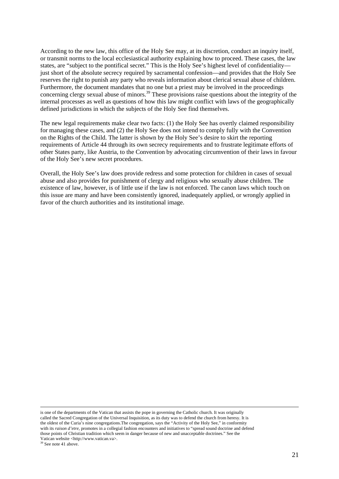According to the new law, this office of the Holy See may, at its discretion, conduct an inquiry itself, or transmit norms to the local ecclesiastical authority explaining how to proceed. These cases, the law states, are "subject to the pontifical secret." This is the Holy See's highest level of confidentiality just short of the absolute secrecy required by sacramental confession—and provides that the Holy See reserves the right to punish any party who reveals information about clerical sexual abuse of children. Furthermore, the document mandates that no one but a priest may be involved in the proceedings concerning clergy sexual abuse of minors.<sup>39</sup> These provisions raise questions about the integrity of the internal processes as well as questions of how this law might conflict with laws of the geographically defined jurisdictions in which the subjects of the Holy See find themselves.

The new legal requirements make clear two facts: (1) the Holy See has overtly claimed responsibility for managing these cases, and (2) the Holy See does not intend to comply fully with the Convention on the Rights of the Child. The latter is shown by the Holy See's desire to skirt the reporting requirements of Article 44 through its own secrecy requirements and to frustrate legitimate efforts of other States party, like Austria, to the Convention by advocating circumvention of their laws in favour of the Holy See's new secret procedures.

Overall, the Holy See's law does provide redress and some protection for children in cases of sexual abuse and also provides for punishment of clergy and religious who sexually abuse children. The existence of law, however, is of little use if the law is not enforced. The canon laws which touch on this issue are many and have been consistently ignored, inadequately applied, or wrongly applied in favor of the church authorities and its institutional image.

 is one of the departments of the Vatican that assists the pope in governing the Catholic church. It was originally called the Sacred Congregation of the Universal Inquisition, as its duty was to defend the church from heresy. It is the oldest of the Curia's nine congregations.The congregation, says the "Activity of the Holy See," in conformity with its *raison d'etre*, promotes in a collegial fashion encounters and initiatives to "spread sound doctrine and defend those points of Christian tradition which seem in danger because of new and unacceptable doctrines." See the Vatican website <http://www.vatican.va>.<br><sup>39</sup> See note 41 above.

<span id="page-22-0"></span>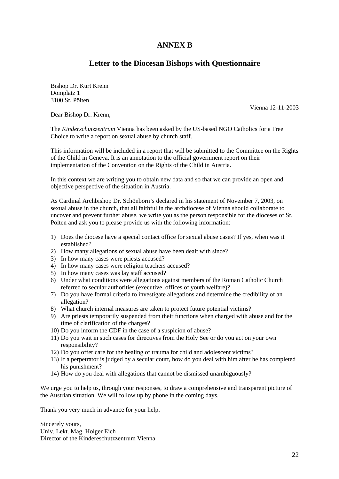## **ANNEX B**

## **Letter to the Diocesan Bishops with Questionnaire**

Bishop Dr. Kurt Krenn Domplatz 1 3100 St. Pölten

Vienna 12-11-2003

Dear Bishop Dr. Krenn,

The *Kinderschutzzentrum* Vienna has been asked by the US-based NGO Catholics for a Free Choice to write a report on sexual abuse by church staff.

This information will be included in a report that will be submitted to the Committee on the Rights of the Child in Geneva. It is an annotation to the official government report on their implementation of the Convention on the Rights of the Child in Austria.

In this context we are writing you to obtain new data and so that we can provide an open and objective perspective of the situation in Austria.

As Cardinal Archbishop Dr. Schönborn's declared in his statement of November 7, 2003, on sexual abuse in the church, that all faithful in the archdiocese of Vienna should collaborate to uncover and prevent further abuse, we write you as the person responsible for the dioceses of St. Pölten and ask you to please provide us with the following information:

- 1) Does the diocese have a special contact office for sexual abuse cases? If yes, when was it established?
- 2) How many allegations of sexual abuse have been dealt with since?
- 3) In how many cases were priests accused?
- 4) In how many cases were religion teachers accused?
- 5) In how many cases was lay staff accused?
- 6) Under what conditions were allegations against members of the Roman Catholic Church referred to secular authorities (executive, offices of youth welfare)?
- 7) Do you have formal criteria to investigate allegations and determine the credibility of an allegation?
- 8) What church internal measures are taken to protect future potential victims?
- 9) Are priests temporarily suspended from their functions when charged with abuse and for the time of clarification of the charges?
- 10) Do you inform the CDF in the case of a suspicion of abuse?
- 11) Do you wait in such cases for directives from the Holy See or do you act on your own responsibility?
- 12) Do you offer care for the healing of trauma for child and adolescent victims?
- 13) If a perpetrator is judged by a secular court, how do you deal with him after he has completed his punishment?
- 14) How do you deal with allegations that cannot be dismissed unambiguously?

We urge you to help us, through your responses, to draw a comprehensive and transparent picture of the Austrian situation. We will follow up by phone in the coming days.

Thank you very much in advance for your help.

Sincerely yours, Univ. Lekt. Mag. Holger Eich Director of the Kindereschutzzentrum Vienna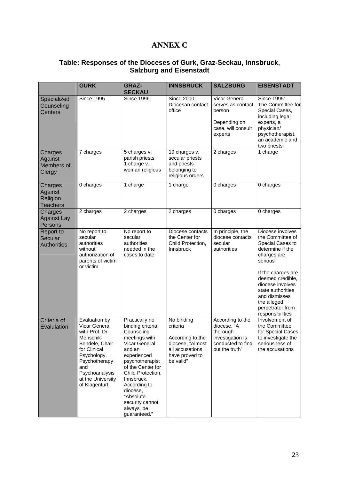## **ANNEX C**

## **Table: Responses of the Dioceses of Gurk, Graz-Seckau, Innsbruck, Salzburg and Eisenstadt**

|                                                   | <b>GURK</b>                                                                                                                                                                                    | <b>GRAZ-</b>                                                                                                                                                                                                                                                                     | <b>INNSBRUCK</b>                                                                                                 | <b>SALZBURG</b>                                                                                        | <b>EISENSTADT</b>                                                                                                                                                                                                                                                 |
|---------------------------------------------------|------------------------------------------------------------------------------------------------------------------------------------------------------------------------------------------------|----------------------------------------------------------------------------------------------------------------------------------------------------------------------------------------------------------------------------------------------------------------------------------|------------------------------------------------------------------------------------------------------------------|--------------------------------------------------------------------------------------------------------|-------------------------------------------------------------------------------------------------------------------------------------------------------------------------------------------------------------------------------------------------------------------|
|                                                   |                                                                                                                                                                                                | <b>SECKAU</b>                                                                                                                                                                                                                                                                    |                                                                                                                  |                                                                                                        |                                                                                                                                                                                                                                                                   |
| Specialized<br>Counseling<br>Centers              | <b>Since 1995</b>                                                                                                                                                                              | <b>Since 1996</b>                                                                                                                                                                                                                                                                | Since 2000:<br>Diocesan contact<br>office                                                                        | <b>Vicar General</b><br>serves as contact<br>person<br>Depending on<br>case, will consult<br>experts   | Since 1995:<br>The Committee for<br>Special Cases,<br>including legal<br>experts, a<br>physician/<br>psychotherapist,<br>an academic and<br>two priests                                                                                                           |
| Charges<br>Against<br>Members of<br>Clergy        | 7 charges                                                                                                                                                                                      | 5 charges v.<br>parish priests<br>1 charge v.<br>woman religious                                                                                                                                                                                                                 | 19 charges v.<br>secular priests<br>and priests<br>belonging to<br>religious orders                              | 2 charges                                                                                              | 1 charge                                                                                                                                                                                                                                                          |
| Charges<br>Against<br>Religion<br><b>Teachers</b> | 0 charges                                                                                                                                                                                      | 1 charge                                                                                                                                                                                                                                                                         | 1 charge                                                                                                         | 0 charges                                                                                              | 0 charges                                                                                                                                                                                                                                                         |
| Charges<br><b>Against Lay</b><br>Persons          | 2 charges                                                                                                                                                                                      | 2 charges                                                                                                                                                                                                                                                                        | 2 charges                                                                                                        | 0 charges                                                                                              | 0 charges                                                                                                                                                                                                                                                         |
| Report to<br>Secular<br><b>Authorities</b>        | No report to<br>secular<br>authorities<br>without<br>authorization of<br>parents of victim<br>or victim                                                                                        | No report to<br>secular<br>authorities<br>needed in the<br>cases to date                                                                                                                                                                                                         | Diocese contacts<br>the Center for<br>Child Protection,<br>Innsbruck                                             | In principle, the<br>diocese contacts<br>secular<br>authorities                                        | Diocese involves<br>the Committee of<br>Special Cases to<br>determine if the<br>charges are<br>serious<br>If the charges are<br>deemed credible,<br>diocese involves<br>state authorities<br>and dismisses<br>the alleged<br>perpetrator from<br>responsibilities |
| Criteria of<br>Evalulation                        | Evaluation by<br>Vicar General<br>with Prof. Dr.<br>Menschik-<br>Bendele, Chair<br>for Clinical<br>Psychology,<br>Psychotherapy<br>and<br>Psychoanalysis<br>at the University<br>of Klagenfurt | Practically no<br>binding criteria.<br>Counseling<br>meetings with<br>Vicar General<br>and an<br>experienced<br>psychotherapist<br>of the Center for<br>Child Protection,<br>Innsbruck.<br>According to<br>diocese,<br>"Absolute<br>security cannot<br>always be<br>guaranteed." | No binding<br>criteria<br>According to the<br>diocese, "Almost<br>all accusations<br>have proved to<br>be valid" | According to the<br>diocese, "A<br>thorough<br>investigation is<br>conducted to find<br>out the truth" | Involvement of<br>the Committee<br>for Special Cases<br>to investigate the<br>seriousness of<br>the accusations                                                                                                                                                   |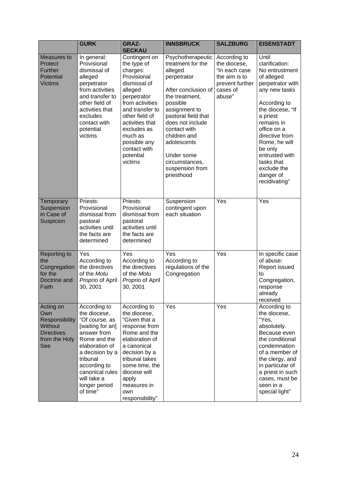|                                                                                                   | <b>GURK</b>                                                                                                                                                                                                                       | <b>GRAZ-</b><br><b>SECKAU</b>                                                                                                                                                                                                                                  | <b>INNSBRUCK</b>                                                                                                                                                                                                                                                                                  | <b>SALZBURG</b>                                                                                         | <b>EISENSTADT</b>                                                                                                                                                                                                                                                                                    |
|---------------------------------------------------------------------------------------------------|-----------------------------------------------------------------------------------------------------------------------------------------------------------------------------------------------------------------------------------|----------------------------------------------------------------------------------------------------------------------------------------------------------------------------------------------------------------------------------------------------------------|---------------------------------------------------------------------------------------------------------------------------------------------------------------------------------------------------------------------------------------------------------------------------------------------------|---------------------------------------------------------------------------------------------------------|------------------------------------------------------------------------------------------------------------------------------------------------------------------------------------------------------------------------------------------------------------------------------------------------------|
| Measures to<br>Protect<br>Further<br>Potential<br><b>Victims</b>                                  | In general:<br>Provisional<br>dismissal of<br>alleged<br>perpetrator<br>from activities<br>and transfer to<br>other field of<br>activities that<br>excludes<br>contact with<br>potential<br>victims                               | Contingent on<br>the type of<br>charges:<br>Provisional<br>dismissal of<br>alleged<br>perpetrator<br>from activities<br>and transfer to<br>other field of<br>activities that<br>excludes as<br>much as<br>possible any<br>contact with<br>potential<br>victims | Psychotherapeutic<br>treatment for the<br>alleged<br>perpetrator<br>After conclusion of<br>the treatment,<br>possible<br>assignment to<br>pastoral field that<br>does not include<br>contact with<br>children and<br>adolescents<br>Under some<br>circumstances,<br>suspension from<br>priesthood | According to<br>the diocese,<br>"In each case<br>the aim is to<br>prevent further<br>cases of<br>abuse" | Until<br>clarification:<br>No entrustment<br>of alleged<br>perpetrator with<br>any new tasks<br>According to<br>the diocese, "If<br>a priest<br>remains in<br>office on a<br>directive from<br>Rome, he will<br>be only<br>entrusted with<br>tasks that<br>exclude the<br>danger of<br>recidivating" |
| Temporary<br>Suspension<br>in Case of<br>Suspicion                                                | Priests:<br>Provisional<br>dismissal from<br>pastoral<br>activities until<br>the facts are<br>determined                                                                                                                          | Priests:<br>Provisional<br>dismissal from<br>pastoral<br>activities until<br>the facts are<br>determined                                                                                                                                                       | Suspension<br>contingent upon<br>each situation                                                                                                                                                                                                                                                   | Yes                                                                                                     | Yes                                                                                                                                                                                                                                                                                                  |
| Reporting to<br>the<br>Congregation<br>for the<br>Doctrine and<br>Faith                           | Yes<br>According to<br>the directives<br>of the Motu<br>Proprio of April<br>30, 2001                                                                                                                                              | Yes<br>According to<br>the directives<br>of the Motu<br>Proprio of April<br>30, 2001                                                                                                                                                                           | Yes<br>According to<br>regulations of the<br>Congregation                                                                                                                                                                                                                                         | Yes                                                                                                     | In specific case<br>of abuse:<br>Report issued<br>to<br>Congregation,<br>response<br>already<br>received                                                                                                                                                                                             |
| Acting on<br>Own<br>Responsibility<br><b>Without</b><br><b>Directives</b><br>from the Holy<br>See | According to<br>the diocese,<br>"Of course, as<br>[waiting for an]<br>answer from<br>Rome and the<br>elaboration of<br>a decision by a<br>tribunal<br>according to<br>canonical rules<br>will take a<br>longer period<br>of time" | According to<br>the diocese,<br>"Given that a<br>response from<br>Rome and the<br>elaboration of<br>a canonical<br>decision by a<br>tribunal takes<br>some time, the<br>diocese will<br>apply<br>measures in<br>own<br>responsibility"                         | Yes                                                                                                                                                                                                                                                                                               | Yes                                                                                                     | According to<br>the diocese,<br>"Yes,<br>absolutely.<br>Because even<br>the conditional<br>condemnation<br>of a member of<br>the clergy, and<br>in particular of<br>a priest in such<br>cases, must be<br>seen in a<br>special light"                                                                |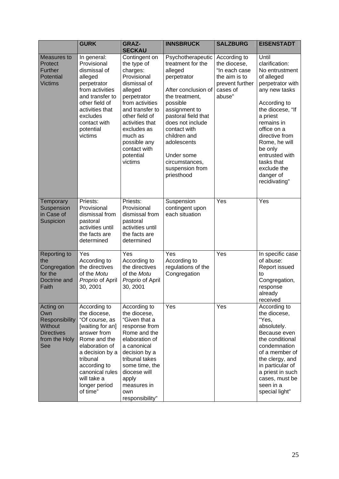|                                                                                                   | <b>GURK</b>                                                                                                                                                                                                                       | <b>GRAZ-</b><br><b>SECKAU</b>                                                                                                                                                                                                                                  | <b>INNSBRUCK</b>                                                                                                                                                                                                                                                                                  | <b>SALZBURG</b>                                                                                         | <b>EISENSTADT</b>                                                                                                                                                                                                                                                                                    |
|---------------------------------------------------------------------------------------------------|-----------------------------------------------------------------------------------------------------------------------------------------------------------------------------------------------------------------------------------|----------------------------------------------------------------------------------------------------------------------------------------------------------------------------------------------------------------------------------------------------------------|---------------------------------------------------------------------------------------------------------------------------------------------------------------------------------------------------------------------------------------------------------------------------------------------------|---------------------------------------------------------------------------------------------------------|------------------------------------------------------------------------------------------------------------------------------------------------------------------------------------------------------------------------------------------------------------------------------------------------------|
| Measures to<br>Protect<br><b>Further</b><br>Potential<br><b>Victims</b>                           | In general:<br>Provisional<br>dismissal of<br>alleged<br>perpetrator<br>from activities<br>and transfer to<br>other field of<br>activities that<br>excludes<br>contact with<br>potential<br>victims                               | Contingent on<br>the type of<br>charges:<br>Provisional<br>dismissal of<br>alleged<br>perpetrator<br>from activities<br>and transfer to<br>other field of<br>activities that<br>excludes as<br>much as<br>possible any<br>contact with<br>potential<br>victims | Psychotherapeutic<br>treatment for the<br>alleged<br>perpetrator<br>After conclusion of<br>the treatment,<br>possible<br>assignment to<br>pastoral field that<br>does not include<br>contact with<br>children and<br>adolescents<br>Under some<br>circumstances,<br>suspension from<br>priesthood | According to<br>the diocese,<br>"In each case<br>the aim is to<br>prevent further<br>cases of<br>abuse" | Until<br>clarification:<br>No entrustment<br>of alleged<br>perpetrator with<br>any new tasks<br>According to<br>the diocese, "If<br>a priest<br>remains in<br>office on a<br>directive from<br>Rome, he will<br>be only<br>entrusted with<br>tasks that<br>exclude the<br>danger of<br>recidivating" |
| Temporary<br>Suspension<br>in Case of<br>Suspicion                                                | Priests:<br>Provisional<br>dismissal from<br>pastoral<br>activities until<br>the facts are<br>determined                                                                                                                          | Priests:<br>Provisional<br>dismissal from<br>pastoral<br>activities until<br>the facts are<br>determined                                                                                                                                                       | Suspension<br>contingent upon<br>each situation                                                                                                                                                                                                                                                   | Yes                                                                                                     | Yes                                                                                                                                                                                                                                                                                                  |
| Reporting to<br>the<br>Congregation<br>for the<br>Doctrine and<br>Faith                           | Yes<br>According to<br>the directives<br>of the Motu<br>Proprio of April<br>30, 2001                                                                                                                                              | Yes<br>According to<br>the directives<br>of the Motu<br>Proprio of April<br>30, 2001                                                                                                                                                                           | Yes<br>According to<br>regulations of the<br>Congregation                                                                                                                                                                                                                                         | Yes                                                                                                     | In specific case<br>of abuse:<br>Report issued<br>to<br>Congregation,<br>response<br>already<br>received                                                                                                                                                                                             |
| Acting on<br>Own<br>Responsibility<br><b>Without</b><br><b>Directives</b><br>from the Holy<br>See | According to<br>the diocese,<br>"Of course, as<br>[waiting for an]<br>answer from<br>Rome and the<br>elaboration of<br>a decision by a<br>tribunal<br>according to<br>canonical rules<br>will take a<br>longer period<br>of time" | According to<br>the diocese,<br>"Given that a<br>response from<br>Rome and the<br>elaboration of<br>a canonical<br>decision by a<br>tribunal takes<br>some time, the<br>diocese will<br>apply<br>measures in<br>own<br>responsibility"                         | Yes                                                                                                                                                                                                                                                                                               | Yes                                                                                                     | According to<br>the diocese,<br>"Yes,<br>absolutely.<br>Because even<br>the conditional<br>condemnation<br>of a member of<br>the clergy, and<br>in particular of<br>a priest in such<br>cases, must be<br>seen in a<br>special light"                                                                |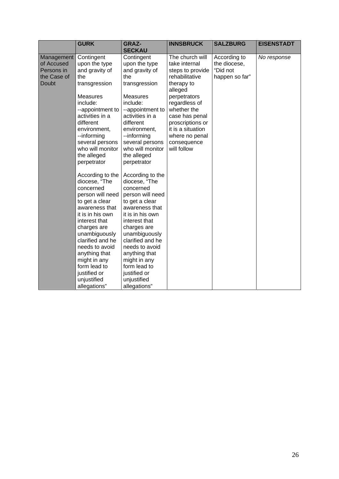|              | <b>GURK</b>                       | <b>GRAZ-</b>                      | <b>INNSBRUCK</b>              | <b>SALZBURG</b> | <b>EISENSTADT</b> |
|--------------|-----------------------------------|-----------------------------------|-------------------------------|-----------------|-------------------|
| Management   | Contingent                        | <b>SECKAU</b><br>Contingent       | The church will               | According to    | No response       |
| of Accused   | upon the type                     | upon the type                     | take internal                 | the diocese,    |                   |
| Persons in   | and gravity of                    | and gravity of                    | steps to provide              | "Did not        |                   |
| the Case of  | the                               | the                               | rehabilitative                | happen so far"  |                   |
| <b>Doubt</b> | transgression                     | transgression                     | therapy to<br>alleged         |                 |                   |
|              | <b>Measures</b>                   | <b>Measures</b>                   | perpetrators                  |                 |                   |
|              | include:                          | include:                          | regardless of                 |                 |                   |
|              | --appointment to                  | --appointment to                  | whether the                   |                 |                   |
|              | activities in a                   | activities in a                   | case has penal                |                 |                   |
|              | different                         | different                         | proscriptions or              |                 |                   |
|              | environment,                      | environment,                      | it is a situation             |                 |                   |
|              | --informing<br>several persons    | --informing<br>several persons    | where no penal<br>consequence |                 |                   |
|              | who will monitor                  | who will monitor                  | will follow                   |                 |                   |
|              | the alleged                       | the alleged                       |                               |                 |                   |
|              | perpetrator                       | perpetrator                       |                               |                 |                   |
|              |                                   |                                   |                               |                 |                   |
|              | According to the                  | According to the                  |                               |                 |                   |
|              | diocese, "The                     | diocese, "The                     |                               |                 |                   |
|              | concerned                         | concerned                         |                               |                 |                   |
|              | person will need                  | person will need                  |                               |                 |                   |
|              | to get a clear                    | to get a clear                    |                               |                 |                   |
|              | awareness that                    | awareness that                    |                               |                 |                   |
|              | it is in his own                  | it is in his own                  |                               |                 |                   |
|              | interest that                     | interest that                     |                               |                 |                   |
|              | charges are                       | charges are                       |                               |                 |                   |
|              | unambiguously<br>clarified and he | unambiguously<br>clarified and he |                               |                 |                   |
|              | needs to avoid                    | needs to avoid                    |                               |                 |                   |
|              | anything that                     | anything that                     |                               |                 |                   |
|              | might in any                      | might in any                      |                               |                 |                   |
|              | form lead to                      | form lead to                      |                               |                 |                   |
|              | justified or                      | justified or                      |                               |                 |                   |
|              | unjustified                       | unjustified                       |                               |                 |                   |
|              | allegations"                      | allegations"                      |                               |                 |                   |